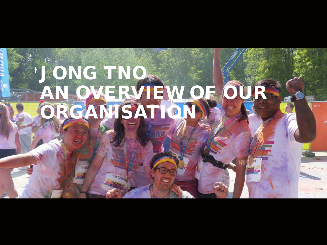# JONG TNO AN OVERVIEW OF OUR ORGANISATION**THE COLOR RD**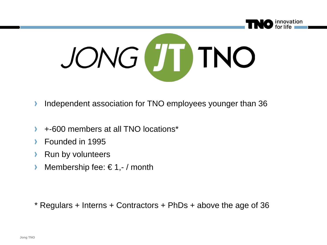

- Independent association for TNO employees younger than 36 ⋗
- +-600 members at all TNO locations\*
- Founded in 1995
- Run by volunteers
- Membership fee:  $\in$  1,- / month У

\* Regulars + Interns + Contractors + PhDs + above the age of 36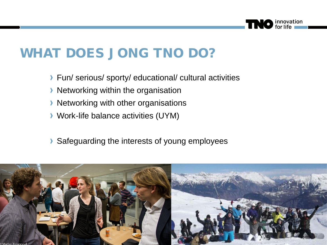

#### WHAT DOES JONG TNO DO?

- ▶ Fun/ serious/ sporty/ educational/ cultural activities
- **Networking within the organisation**
- **Networking with other organisations**
- Work-life balance activities (UYM)
- Safeguarding the interests of young employees

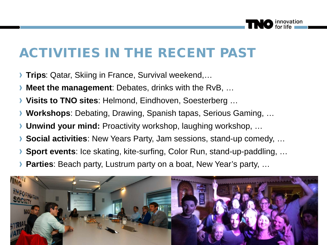

#### ACTIVITIES IN THE RECENT PAST

- **Trips**: Qatar, Skiing in France, Survival weekend,…
- **Meet the management**: Debates, drinks with the RvB, …
- **Visits to TNO sites**: Helmond, Eindhoven, Soesterberg …
- **Workshops**: Debating, Drawing, Spanish tapas, Serious Gaming, …
- **Unwind your mind:** Proactivity workshop, laughing workshop, …
- **Social activities**: New Years Party, Jam sessions, stand-up comedy, …
- **Sport events**: Ice skating, kite-surfing, Color Run, stand-up-paddling, …
- **Parties**: Beach party, Lustrum party on a boat, New Year's party, …

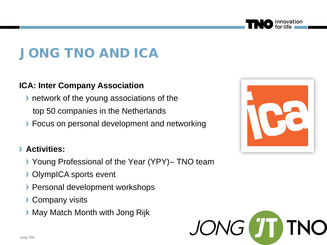#### JONG TNO AND ICA

#### **ICA: Inter Company Association**

- **I** network of the young associations of the top 50 companies in the Netherlands
- **Focus on personal development and networking**

#### **Activities:** Y.

- Young Professional of the Year (YPY)– TNO team
- **OlympICA sports event**
- **Personal development workshops**
- **Company visits**
- **May Match Month with Jong Rijk**





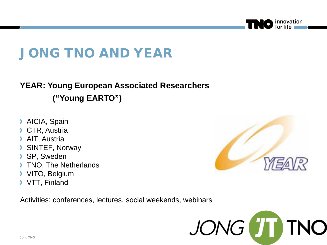

## JONG TNO AND YEAR

#### **YEAR: Young European Associated Researchers**

**("Young EARTO")**

- **AICIA, Spain**
- CTR, Austria
- AIT, Austria
- SINTEF, Norway
- SP, Sweden  $\lambda$
- TNO, The Netherlands
- VITO, Belgium
- VTT, Finland

Activities: conferences, lectures, social weekends, webinars



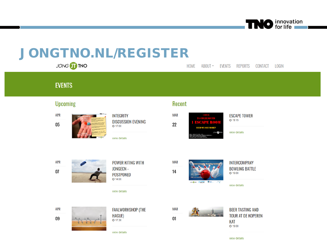

## JONGTNO.NL/REGISTER

JONG TT TNO LOGIN **HOME** ABOUT -**EVENTS REPORTS** CONTACT **EVENTS Upcoming** Recent **APR MAR INTEGRITY ESCAPE TOWER** ◎ 19:15 **DISCUSSION EVENING** TM 10 N  $0<sub>5</sub>$ 22  $Q$  17:00 **NEED WE SAY MORE? JONG** ONC view details view details **APR POWER KITING WITH MAR INTERCOMPANY JONGECN -BOWLING BATTLE**  $07$ 14  $O$  19:00 **POSTPONED**  $Q$  14:00 ON THE POUSE ONE  $rac{64888}{8}$ view details view details **MAR APR FAALWORKSHOP (THE BEER TASTING AND TOUR AT DE KOPEREN HAGUE)** 09  $01$ ◎ 17:30 **KAT**  $Q$  19:00

view details

view details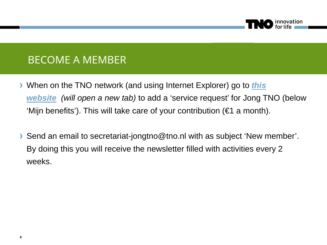

#### **BECOME A MEMBER**

- When on the TNO [network \(and using Internet Explorer\) go to](https://mijnhrservices.tno.nl/ESS_MSS/ServiceRequests.aspx) *this website (will open a new tab)* to add a 'service request' for Jong TNO (below 'Mijn benefits'). This will take care of your contribution (€1 a month).
- Send an email to secretariat-jongtno@tno.nl with as subject 'New member'. By doing this you will receive the newsletter filled with activities every 2 weeks.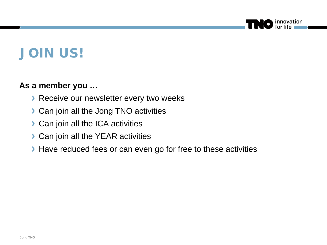

#### JOIN US!

#### **As a member you …**

- **Receive our newsletter every two weeks**
- **Can join all the Jong TNO activities**
- **Can join all the ICA activities**
- **Can join all the YEAR activities**
- Have reduced fees or can even go for free to these activities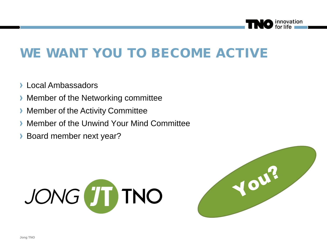

#### WE WANT YOU TO BECOME ACTIVE

- **Local Ambassadors**
- **Member of the Networking committee**
- **Member of the Activity Committee**
- **Member of the Unwind Your Mind Committee**
- **Board member next year?**